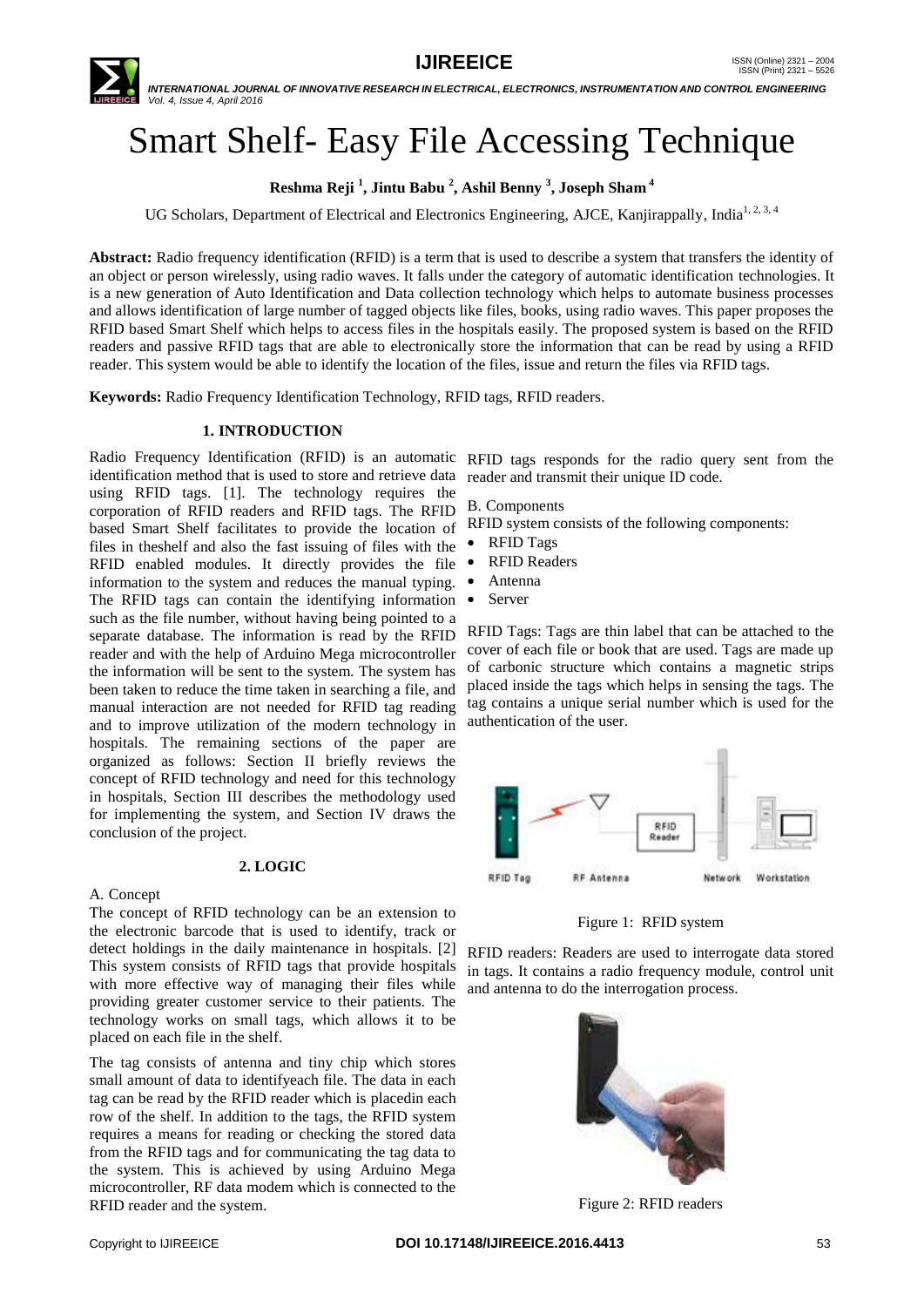

 *INTERNATIONAL JOURNAL OF INNOVATIVE RESEARCH IN ELECTRICAL, ELECTRONICS, INSTRUMENTATION AND CONTROL ENGINEERING Vol. 4, Issue 4, April 2016*

# Smart Shelf- Easy File Accessing Technique

**Reshma Reji <sup>1</sup> , Jintu Babu <sup>2</sup> , Ashil Benny <sup>3</sup> , Joseph Sham <sup>4</sup>**

UG Scholars, Department of Electrical and Electronics Engineering, AJCE, Kanjirappally, India<sup>1, 2, 3, 4</sup>

**Abstract:** Radio frequency identification (RFID) is a term that is used to describe a system that transfers the identity of an object or person wirelessly, using radio waves. It falls under the category of automatic identification technologies. It is a new generation of Auto Identification and Data collection technology which helps to automate business processes and allows identification of large number of tagged objects like files, books, using radio waves. This paper proposes the RFID based Smart Shelf which helps to access files in the hospitals easily. The proposed system is based on the RFID readers and passive RFID tags that are able to electronically store the information that can be read by using a RFID reader. This system would be able to identify the location of the files, issue and return the files via RFID tags.

**Keywords:** Radio Frequency Identification Technology, RFID tags, RFID readers.

#### **1. INTRODUCTION**

Radio Frequency Identification (RFID) is an automatic RFID tags responds for the radio query sent from the identification method that is used to store and retrieve data reader and transmit their unique ID code. using RFID tags. [1]. The technology requires the corporation of RFID readers and RFID tags. The RFID based Smart Shelf facilitates to provide the location of files in theshelf and also the fast issuing of files with the RFID enabled modules. It directly provides the file information to the system and reduces the manual typing. The RFID tags can contain the identifying information such as the file number, without having being pointed to a separate database. The information is read by the RFID reader and with the help of Arduino Mega microcontroller the information will be sent to the system. The system has been taken to reduce the time taken in searching a file, and manual interaction are not needed for RFID tag reading and to improve utilization of the modern technology in hospitals. The remaining sections of the paper are organized as follows: Section II briefly reviews the concept of RFID technology and need for this technology in hospitals, Section III describes the methodology used for implementing the system, and Section IV draws the conclusion of the project.

#### **2. LOGIC**

#### A. Concept

The concept of RFID technology can be an extension to the electronic barcode that is used to identify, track or detect holdings in the daily maintenance in hospitals. [2] This system consists of RFID tags that provide hospitals with more effective way of managing their files while providing greater customer service to their patients. The technology works on small tags, which allows it to be placed on each file in the shelf.

The tag consists of antenna and tiny chip which stores small amount of data to identifyeach file. The data in each tag can be read by the RFID reader which is placedin each row of the shelf. In addition to the tags, the RFID system requires a means for reading or checking the stored data from the RFID tags and for communicating the tag data to the system. This is achieved by using Arduino Mega microcontroller, RF data modem which is connected to the RFID reader and the system.

B. Components

RFID system consists of the following components:

- RFID Tags
	- RFID Readers
- Antenna
- Server

RFID Tags: Tags are thin label that can be attached to the cover of each file or book that are used. Tags are made up of carbonic structure which contains a magnetic strips placed inside the tags which helps in sensing the tags. The tag contains a unique serial number which is used for the authentication of the user.



Figure 1: RFID system

RFID readers: Readers are used to interrogate data stored in tags. It contains a radio frequency module, control unit and antenna to do the interrogation process.



Figure 2: RFID readers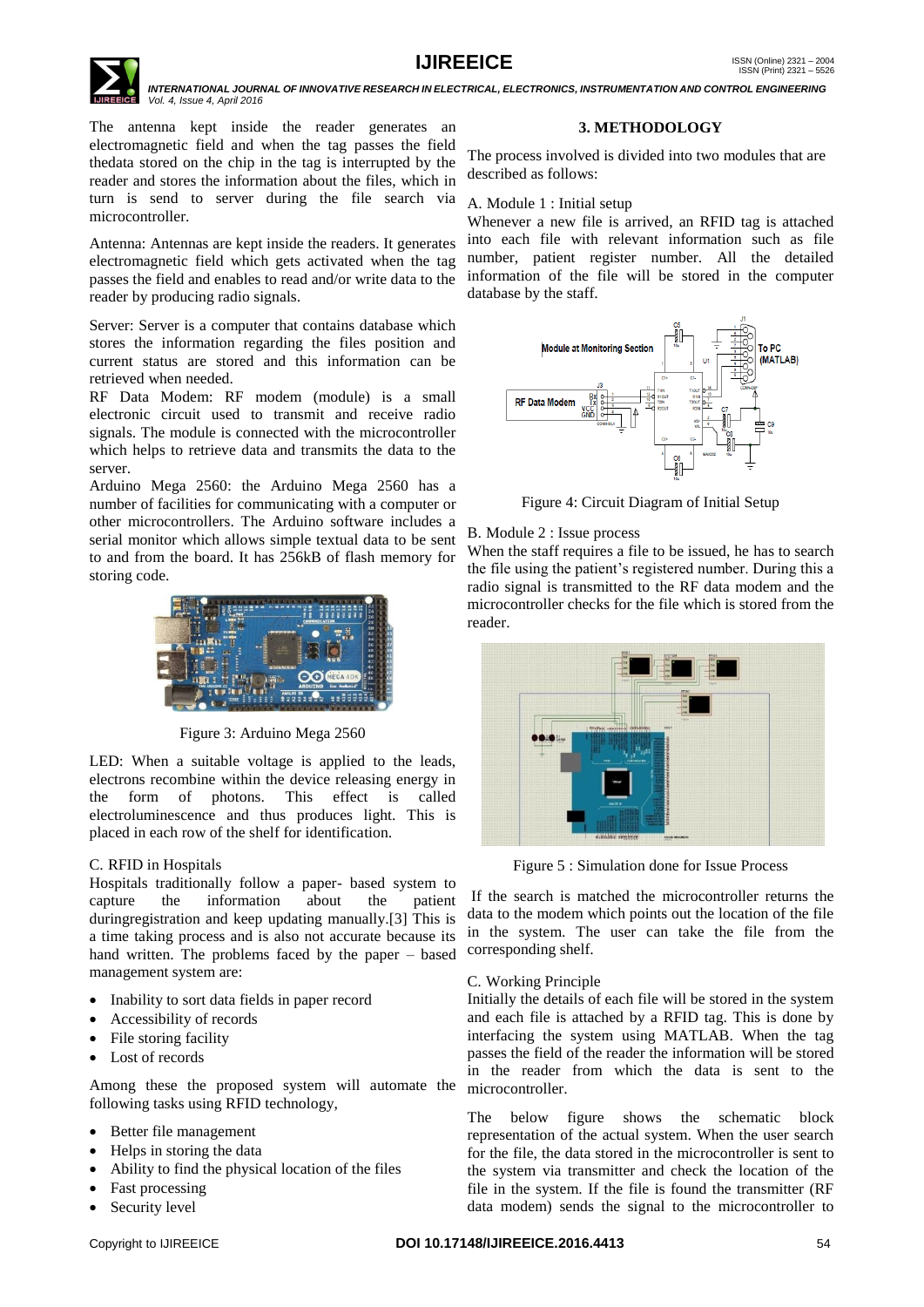

 *INTERNATIONAL JOURNAL OF INNOVATIVE RESEARCH IN ELECTRICAL, ELECTRONICS, INSTRUMENTATION AND CONTROL ENGINEERING Vol. 4, Issue 4, April 2016*

The antenna kept inside the reader generates an electromagnetic field and when the tag passes the field thedata stored on the chip in the tag is interrupted by the reader and stores the information about the files, which in turn is send to server during the file search via microcontroller.

Antenna: Antennas are kept inside the readers. It generates electromagnetic field which gets activated when the tag passes the field and enables to read and/or write data to the reader by producing radio signals.

Server: Server is a computer that contains database which stores the information regarding the files position and current status are stored and this information can be retrieved when needed.

RF Data Modem: RF modem (module) is a small electronic circuit used to transmit and receive radio signals. The module is connected with the microcontroller which helps to retrieve data and transmits the data to the server.

Arduino Mega 2560: the Arduino Mega 2560 has a number of facilities for communicating with a computer or other microcontrollers. The Arduino software includes a serial monitor which allows simple textual data to be sent to and from the board. It has 256kB of flash memory for storing code.



Figure 3: Arduino Mega 2560

LED: When a suitable voltage is applied to the leads, electrons recombine within the device releasing energy in the form of photons. This effect is called electroluminescence and thus produces light. This is placed in each row of the shelf for identification.

## C. RFID in Hospitals

Hospitals traditionally follow a paper- based system to capture the information about the patient duringregistration and keep updating manually.[3] This is a time taking process and is also not accurate because its hand written. The problems faced by the paper – based management system are:

- Inability to sort data fields in paper record
- Accessibility of records
- File storing facility
- Lost of records

Among these the proposed system will automate the following tasks using RFID technology,

- Better file management
- Helps in storing the data
- Ability to find the physical location of the files
- Fast processing
- Security level

## **3. METHODOLOGY**

The process involved is divided into two modules that are described as follows:

#### A. Module 1 : Initial setup

Whenever a new file is arrived, an RFID tag is attached into each file with relevant information such as file number, patient register number. All the detailed information of the file will be stored in the computer database by the staff.



Figure 4: Circuit Diagram of Initial Setup

#### B. Module 2 : Issue process

When the staff requires a file to be issued, he has to search the file using the patient's registered number. During this a radio signal is transmitted to the RF data modem and the microcontroller checks for the file which is stored from the reader.



Figure 5 : Simulation done for Issue Process

If the search is matched the microcontroller returns the data to the modem which points out the location of the file in the system. The user can take the file from the corresponding shelf.

#### C. Working Principle

Initially the details of each file will be stored in the system and each file is attached by a RFID tag. This is done by interfacing the system using MATLAB. When the tag passes the field of the reader the information will be stored in the reader from which the data is sent to the microcontroller.

The below figure shows the schematic block representation of the actual system. When the user search for the file, the data stored in the microcontroller is sent to the system via transmitter and check the location of the file in the system. If the file is found the transmitter (RF data modem) sends the signal to the microcontroller to